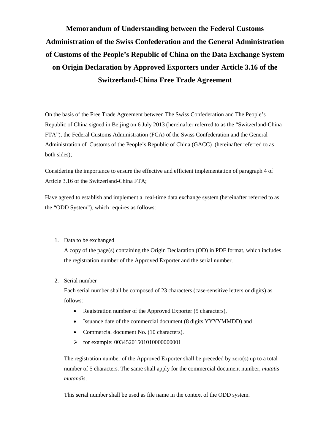## **Memorandum of Understanding between the Federal Customs Administration of the Swiss Confederation and the General Administration of Customs of the People's Republic of China on the Data Exchange System on Origin Declaration by Approved Exporters under Article 3.16 of the Switzerland-China Free Trade Agreement**

On the basis of the Free Trade Agreement between The Swiss Confederation and The People's Republic of China signed in Beijing on 6 July 2013 (hereinafter referred to as the "Switzerland-China FTA"), the Federal Customs Administration (FCA) of the Swiss Confederation and the General Administration of Customs of the People's Republic of China (GACC) (hereinafter referred to as both sides);

Considering the importance to ensure the effective and efficient implementation of paragraph 4 of Article 3.16 of the Switzerland-China FTA;

Have agreed to establish and implement a real-time data exchange system (hereinafter referred to as the "ODD System"), which requires as follows:

1. Data to be exchanged

A copy of the page(s) containing the Origin Declaration (OD) in PDF format, which includes the registration number of the Approved Exporter and the serial number.

2. Serial number

Each serial number shall be composed of 23 characters (case-sensitive letters or digits) as follows:

- Registration number of the Approved Exporter (5 characters),
- Issuance date of the commercial document (8 digits YYYYMMDD) and
- Commercial document No. (10 characters).
- for example: 00345201501010000000001

The registration number of the Approved Exporter shall be preceded by zero(s) up to a total number of 5 characters. The same shall apply for the commercial document number, *mutatis mutandis*.

This serial number shall be used as file name in the context of the ODD system.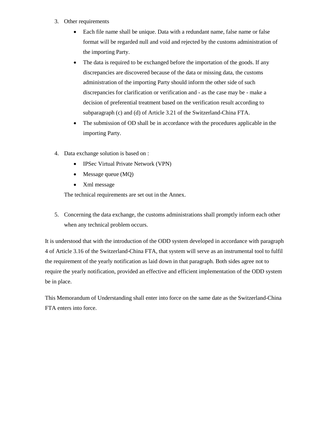- 3. Other requirements
	- Each file name shall be unique. Data with a redundant name, false name or false format will be regarded null and void and rejected by the customs administration of the importing Party.
	- The data is required to be exchanged before the importation of the goods. If any discrepancies are discovered because of the data or missing data, the customs administration of the importing Party should inform the other side of such discrepancies for clarification or verification and - as the case may be - make a decision of preferential treatment based on the verification result according to subparagraph (c) and (d) of Article 3.21 of the Switzerland-China FTA.
	- The submission of OD shall be in accordance with the procedures applicable in the importing Party.
- 4. Data exchange solution is based on :
	- IPSec Virtual Private Network (VPN)
	- Message queue (MQ)
	- Xml message

The technical requirements are set out in the Annex.

5. Concerning the data exchange, the customs administrations shall promptly inform each other when any technical problem occurs.

It is understood that with the introduction of the ODD system developed in accordance with paragraph 4 of Article 3.16 of the Switzerland-China FTA, that system will serve as an instrumental tool to fulfil the requirement of the yearly notification as laid down in that paragraph. Both sides agree not to require the yearly notification, provided an effective and efficient implementation of the ODD system be in place.

This Memorandum of Understanding shall enter into force on the same date as the Switzerland-China FTA enters into force.